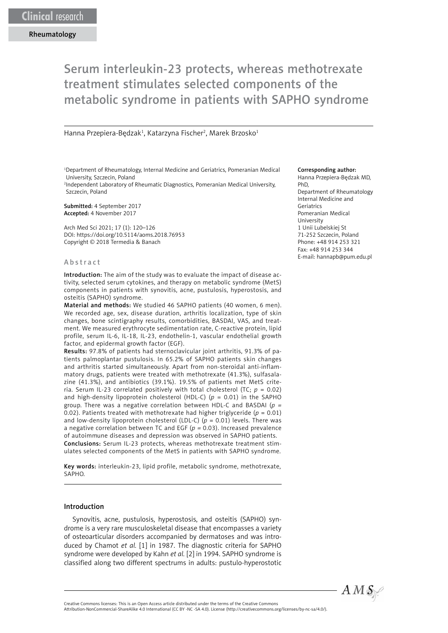# Serum interleukin-23 protects, whereas methotrexate treatment stimulates selected components of the metabolic syndrome in patients with SAPHO syndrome

Hanna Przepiera-Będzak<sup>1</sup>, Katarzyna Fischer<sup>2</sup>, Marek Brzosko<sup>1</sup>

1 Department of Rheumatology, Internal Medicine and Geriatrics, Pomeranian Medical University, Szczecin, Poland

2 Independent Laboratory of Rheumatic Diagnostics, Pomeranian Medical University, Szczecin, Poland

Submitted: 4 September 2017 Accepted: 4 November 2017

Arch Med Sci 2021; 17 (1): 120–126 DOI: https://doi.org/10.5114/aoms.2018.76953 Copyright © 2018 Termedia & Banach

#### Abstract

Introduction: The aim of the study was to evaluate the impact of disease activity, selected serum cytokines, and therapy on metabolic syndrome (MetS) components in patients with synovitis, acne, pustulosis, hyperostosis, and osteitis (SAPHO) syndrome.

Material and methods: We studied 46 SAPHO patients (40 women, 6 men). We recorded age, sex, disease duration, arthritis localization, type of skin changes, bone scintigraphy results, comorbidities, BASDAI, VAS, and treatment. We measured erythrocyte sedimentation rate, C-reactive protein, lipid profile, serum IL-6, IL-18, IL-23, endothelin-1, vascular endothelial growth factor, and epidermal growth factor (EGF).

Results: 97.8% of patients had sternoclavicular joint arthritis, 91.3% of patients palmoplantar pustulosis. In 65.2% of SAPHO patients skin changes and arthritis started simultaneously. Apart from non-steroidal anti-inflammatory drugs, patients were treated with methotrexate (41.3%), sulfasalazine (41.3%), and antibiotics (39.1%). 19.5% of patients met MetS criteria. Serum IL-23 correlated positively with total cholesterol (TC;  $p = 0.02$ ) and high-density lipoprotein cholesterol (HDL-C) (*p* = 0.01) in the SAPHO group. There was a negative correlation between HDL-C and BASDAI (*p =* 0.02). Patients treated with methotrexate had higher triglyceride ( $p = 0.01$ ) and low-density lipoprotein cholesterol (LDL-C) (*p* = 0.01) levels. There was a negative correlation between TC and EGF (*p =* 0.03). Increased prevalence of autoimmune diseases and depression was observed in SAPHO patients. Conclusions: Serum IL-23 protects, whereas methotrexate treatment stimulates selected components of the MetS in patients with SAPHO syndrome.

Key words: interleukin-23, lipid profile, metabolic syndrome, methotrexate, SAPHO.

#### Introduction

Synovitis, acne, pustulosis, hyperostosis, and osteitis (SAPHO) syndrome is a very rare musculoskeletal disease that encompasses a variety of osteoarticular disorders accompanied by dermatoses and was introduced by Chamot *et al.* [1] in 1987. The diagnostic criteria for SAPHO syndrome were developed by Kahn *et al.* [2] in 1994. SAPHO syndrome is classified along two different spectrums in adults: pustulo-hyperostotic

#### Corresponding author:

Hanna Przepiera-Będzak MD, PhD, Department of Rheumatology Internal Medicine and Geriatrics Pomeranian Medical University 1 Unii Lubelskiej St 71-252 Szczecin, Poland Phone: +48 914 253 321 Fax: +48 914 253 344 E-mail: hannapb@pum.edu.pl



Attribution-NonCommercial-ShareAlike 4.0 International (CC BY -NC -SA 4.0). License (http://creativecommons.org/licenses/by-nc-sa/4.0/).

Creative Commons licenses: This is an Open Access article distributed under the terms of the Creative Commons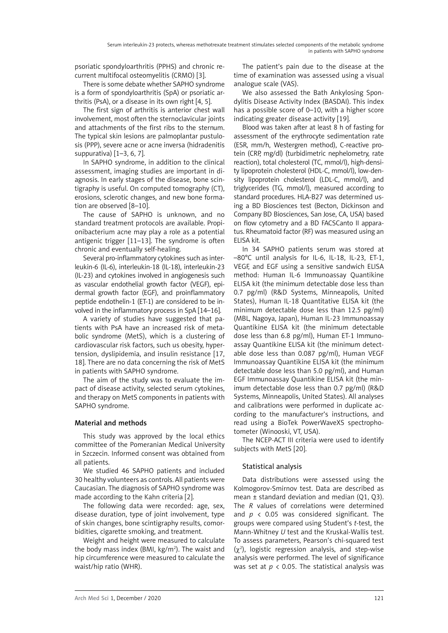psoriatic spondyloarthritis (PPHS) and chronic recurrent multifocal osteomyelitis (CRMO) [3].

There is some debate whether SAPHO syndrome is a form of spondyloarthritis (SpA) or psoriatic arthritis (PsA), or a disease in its own right [4, 5].

The first sign of arthritis is anterior chest wall involvement, most often the sternoclavicular joints and attachments of the first ribs to the sternum. The typical skin lesions are palmoplantar pustulosis (PPP), severe acne or acne inversa (hidradenitis suppurativa) [1–3, 6, 7].

In SAPHO syndrome, in addition to the clinical assessment, imaging studies are important in diagnosis. In early stages of the disease, bone scintigraphy is useful. On computed tomography (CT), erosions, sclerotic changes, and new bone formation are observed [8–10].

The cause of SAPHO is unknown, and no standard treatment protocols are available. Propionibacterium acne may play a role as a potential antigenic trigger [11–13]. The syndrome is often chronic and eventually self-healing.

Several pro-inflammatory cytokines such as interleukin-6 (IL-6), interleukin-18 (IL-18), interleukin-23 (IL-23) and cytokines involved in angiogenesis such as vascular endothelial growth factor (VEGF), epidermal growth factor (EGF), and proinflammatory peptide endothelin-1 (ET-1) are considered to be involved in the inflammatory process in SpA [14–16].

A variety of studies have suggested that patients with PsA have an increased risk of metabolic syndrome (MetS), which is a clustering of cardiovascular risk factors, such us obesity, hypertension, dyslipidemia, and insulin resistance [17, 18]. There are no data concerning the risk of MetS in patients with SAPHO syndrome.

The aim of the study was to evaluate the impact of disease activity, selected serum cytokines, and therapy on MetS components in patients with SAPHO syndrome.

### Material and methods

This study was approved by the local ethics committee of the Pomeranian Medical University in Szczecin. Informed consent was obtained from all patients.

We studied 46 SAPHO patients and included 30 healthy volunteers as controls. All patients were Caucasian. The diagnosis of SAPHO syndrome was made according to the Kahn criteria [2].

The following data were recorded: age, sex, disease duration, type of joint involvement, type of skin changes, bone scintigraphy results, comorbidities, cigarette smoking, and treatment.

Weight and height were measured to calculate the body mass index (BMI,  $kg/m<sup>2</sup>$ ). The waist and hip circumference were measured to calculate the waist/hip ratio (WHR).

The patient's pain due to the disease at the time of examination was assessed using a visual analogue scale (VAS).

We also assessed the Bath Ankylosing Spondylitis Disease Activity Index (BASDAI). This index has a possible score of 0–10, with a higher score indicating greater disease activity [19].

Blood was taken after at least 8 h of fasting for assessment of the erythrocyte sedimentation rate (ESR, mm/h, Westergren method), C-reactive protein (CRP, mg/dl) (turbidimetric nephelometry, rate reaction), total cholesterol (TC, mmol/l), high-density lipoprotein cholesterol (HDL-C, mmol/l), low-density lipoprotein cholesterol (LDL-C, mmol/l), and triglycerides (TG, mmol/l), measured according to standard procedures. HLA-B27 was determined using a BD Biosciences test (Becton, Dickinson and Company BD Biosciences, San Jose, CA, USA) based on flow cytometry and a BD FACSCanto II apparatus. Rheumatoid factor (RF) was measured using an ELISA kit.

In 34 SAPHO patients serum was stored at –80°C until analysis for IL-6, IL-18, IL-23, ET-1, VEGF, and EGF using a sensitive sandwich ELISA method: Human IL-6 Immunoassay Quantikine ELISA kit (the minimum detectable dose less than 0.7 pg/ml) (R&D Systems, Minneapolis, United States), Human IL-18 Quantitative ELISA kit (the minimum detectable dose less than 12.5 pg/ml) (MBL, Nagoya, Japan), Human IL-23 Immunoassay Quantikine ELISA kit (the minimum detectable dose less than 6.8 pg/ml), Human ET-1 Immunoassay Quantikine ELISA kit (the minimum detectable dose less than 0.087 pg/ml), Human VEGF Immunoassay Quantikine ELISA kit (the minimum detectable dose less than 5.0 pg/ml), and Human EGF Immunoassay Quantikine ELISA kit (the minimum detectable dose less than 0.7 pg/ml) (R&D Systems, Minneapolis, United States). All analyses and calibrations were performed in duplicate according to the manufacturer's instructions, and read using a BioTek PowerWaveXS spectrophotometer (Winooski, VT, USA).

The NCEP-ACT III criteria were used to identify subjects with MetS [20].

## Statistical analysis

Data distributions were assessed using the Kolmogorov-Smirnov test. Data are described as mean  $\pm$  standard deviation and median (Q1, Q3). The *R* values of correlations were determined and *p* < 0.05 was considered significant. The groups were compared using Student's *t*-test, the Mann-Whitney *U* test and the Kruskal-Wallis test. To assess parameters, Pearson's chi-squared test  $(\chi^2)$ , logistic regression analysis, and step-wise analysis were performed. The level of significance was set at *p* < 0.05. The statistical analysis was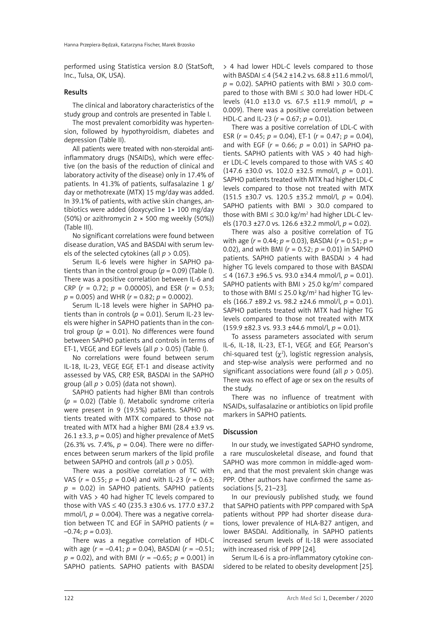performed using Statistica version 8.0 (StatSoft, Inc., Tulsa, OK, USA).

#### Results

The clinical and laboratory characteristics of the study group and controls are presented in Table I.

The most prevalent comorbidity was hypertension, followed by hypothyroidism, diabetes and depression (Table II).

All patients were treated with non-steroidal antiinflammatory drugs (NSAIDs), which were effective (on the basis of the reduction of clinical and laboratory activity of the disease) only in 17.4% of patients. In 41.3% of patients, sulfasalazine 1 g/ day or methotrexate (MTX) 15 mg/day was added. In 39.1% of patients, with active skin changes, antibiotics were added (doxycycline 1× 100 mg/day (50%) or azithromycin  $2 \times 500$  mg weekly (50%)) (Table III).

No significant correlations were found between disease duration, VAS and BASDAI with serum levels of the selected cytokines (all *p* > 0.05).

Serum IL-6 levels were higher in SAPHO patients than in the control group ( $p = 0.09$ ) (Table I). There was a positive correlation between IL-6 and CRP ( $r = 0.72$ ;  $p = 0.00005$ ), and ESR ( $r = 0.53$ ; *p* = 0.005) and WHR (*r* = 0.82; *p* = 0.0002).

Serum IL-18 levels were higher in SAPHO patients than in controls ( $p = 0.01$ ). Serum IL-23 levels were higher in SAPHO patients than in the control group ( $p = 0.01$ ). No differences were found between SAPHO patients and controls in terms of ET-1, VEGF, and EGF levels (all *p* > 0.05) (Table I).

No correlations were found between serum IL-18, IL-23, VEGF, EGF, ET-1 and disease activity assessed by VAS, CRP, ESR, BASDAI in the SAPHO group (all *p* > 0.05) (data not shown).

SAPHO patients had higher BMI than controls (*p* = 0.02) (Table I). Metabolic syndrome criteria were present in 9 (19.5%) patients. SAPHO patients treated with MTX compared to those not treated with MTX had a higher BMI (28.4 ±3.9 vs.  $26.1 \pm 3.3$ ,  $p = 0.05$ ) and higher prevalence of MetS (26.3% vs. 7.4%,  $p = 0.04$ ). There were no differences between serum markers of the lipid profile between SAPHO and controls (all *p* > 0.05).

There was a positive correlation of TC with VAS (*r* = 0.55; *p* = 0.04) and with IL-23 (*r* = 0.63; *p* = 0.02) in SAPHO patients. SAPHO patients with VAS > 40 had higher TC levels compared to those with VAS  $\leq$  40 (235.3 ±30.6 vs. 177.0 ±37.2 mmol/l,  $p = 0.004$ ). There was a negative correlation between TC and EGF in SAPHO patients (*r* =  $-0.74$ ;  $p = 0.03$ ).

There was a negative correlation of HDL-C with age (*r* = –0.41; *p =* 0.04), BASDAI (*r* = –0.51; *p =* 0.02), and with BMI (*r* = –0.65; *p =* 0.001) in SAPHO patients. SAPHO patients with BASDAI > 4 had lower HDL-C levels compared to those with BASDAI ≤ 4 (54.2 ±14.2 vs. 68.8 ±11.6 mmol/l, *p* = 0.02). SAPHO patients with BMI > 30.0 compared to those with BMI  $\leq$  30.0 had lower HDL-C levels (41.0 ±13.0 vs. 67.5 ±11.9 mmol/l, *p* = 0.009). There was a positive correlation between HDL-C and IL-23 (*r* = 0.67; *p =* 0.01).

There was a positive correlation of LDL-C with ESR (*r* = 0.45; *p =* 0.04), ET-1 (*r* = 0.47; *p =* 0.04), and with EGF (*r* = 0.66; *p =* 0.01) in SAPHO patients. SAPHO patients with VAS > 40 had higher LDL-C levels compared to those with VAS  $\leq 40$ (147.6 ±30.0 vs. 102.0 ±32.5 mmol/l, *p* = 0.01). SAPHO patients treated with MTX had higher LDL-C levels compared to those not treated with MTX (151.5 ±30.7 vs. 120.5 ±35.2 mmol/l, *p* = 0.04). SAPHO patients with BMI > 30.0 compared to those with BMI  $\leq$  30.0 kg/m<sup>2</sup> had higher LDL-C levels (170.3 ±27.0 vs. 126.6 ±32.2 mmol/l, *p* = 0.02).

There was also a positive correlation of TG with age (*r* = 0.44; *p =* 0.03), BASDAI (*r* = 0.51; *p =* 0.02), and with BMI (*r* = 0.52; *p =* 0.01) in SAPHO patients. SAPHO patients with BASDAI > 4 had higher TG levels compared to those with BASDAI ≤ 4 (167.3 ±96.5 vs. 93.0 ±34.4 mmol/l, *p* = 0.01). SAPHO patients with BMI  $>$  25.0 kg/m<sup>2</sup> compared to those with BMI  $\leq$  25.0 kg/m<sup>2</sup> had higher TG levels (166.7 ±89.2 vs. 98.2 ±24.6 mmol/l, *p* = 0.01). SAPHO patients treated with MTX had higher TG levels compared to those not treated with MTX (159.9 ±82.3 vs. 93.3 ±44.6 mmol/l, *p* = 0.01).

To assess parameters associated with serum IL-6, IL-18, IL-23, ET-1, VEGF, and EGF, Pearson's chi-squared test  $(\chi^2)$ , logistic regression analysis, and step-wise analysis were performed and no significant associations were found (all *p* > 0.05). There was no effect of age or sex on the results of the study.

There was no influence of treatment with NSAIDs, sulfasalazine or antibiotics on lipid profile markers in SAPHO patients.

### Discussion

In our study, we investigated SAPHO syndrome, a rare musculoskeletal disease, and found that SAPHO was more common in middle-aged women, and that the most prevalent skin change was PPP. Other authors have confirmed the same associations [5, 21–23].

In our previously published study, we found that SAPHO patients with PPP compared with SpA patients without PPP had shorter disease durations, lower prevalence of HLA-B27 antigen, and lower BASDAI. Additionally, in SAPHO patients increased serum levels of IL-18 were associated with increased risk of PPP [24].

Serum IL-6 is a pro-inflammatory cytokine considered to be related to obesity development [25].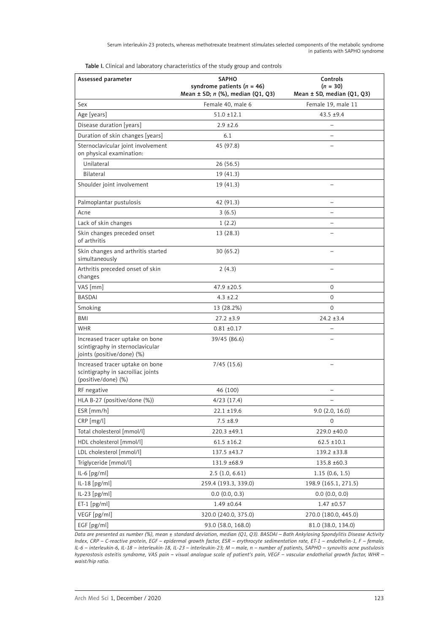Serum interleukin-23 protects, whereas methotrexate treatment stimulates selected components of the metabolic syndrome in patients with SAPHO syndrome

| Assessed parameter                                                                                | <b>SAPHO</b><br>syndrome patients ( $n = 46$ ) | Controls<br>$(n = 30)$         |  |  |
|---------------------------------------------------------------------------------------------------|------------------------------------------------|--------------------------------|--|--|
|                                                                                                   | Mean $\pm$ SD; n (%), median (Q1, Q3)          | Mean $\pm$ SD, median (Q1, Q3) |  |  |
| Sex                                                                                               | Female 40, male 6                              | Female 19, male 11             |  |  |
| Age [years]                                                                                       | $51.0 \pm 12.1$                                | $43.5 + 9.4$                   |  |  |
| Disease duration [years]                                                                          | $2.9 \pm 2.6$                                  |                                |  |  |
| Duration of skin changes [years]                                                                  | 6.1                                            |                                |  |  |
| Sternoclavicular joint involvement<br>on physical examination:                                    | 45 (97.8)                                      |                                |  |  |
| Unilateral                                                                                        | 26(56.5)                                       |                                |  |  |
| Bilateral                                                                                         | 19(41.3)                                       |                                |  |  |
| Shoulder joint involvement                                                                        | 19 (41.3)                                      |                                |  |  |
| Palmoplantar pustulosis                                                                           | 42 (91.3)                                      |                                |  |  |
| Acne                                                                                              | 3(6.5)                                         |                                |  |  |
| Lack of skin changes                                                                              | 1(2.2)                                         |                                |  |  |
| Skin changes preceded onset<br>of arthritis                                                       | 13(28.3)                                       |                                |  |  |
| Skin changes and arthritis started<br>simultaneously                                              | 30(65.2)                                       |                                |  |  |
| Arthritis preceded onset of skin<br>changes                                                       | 2(4.3)                                         |                                |  |  |
| VAS [mm]                                                                                          | $47.9 \pm 20.5$                                | 0                              |  |  |
| <b>BASDAI</b>                                                                                     | $4.3 \pm 2.2$                                  | $\Omega$                       |  |  |
| Smoking                                                                                           | 13 (28.2%)                                     | $\mathbf 0$                    |  |  |
| BMI                                                                                               | $27.2 \pm 3.9$                                 | $24.2 \pm 3.4$                 |  |  |
| <b>WHR</b>                                                                                        | $0.81 \pm 0.17$                                |                                |  |  |
| Increased tracer uptake on bone<br>scintigraphy in sternoclavicular<br>joints (positive/done) (%) | 39/45 (86.6)                                   |                                |  |  |
| Increased tracer uptake on bone<br>scintigraphy in sacroiliac joints<br>(positive/done) (%)       | 7/45(15.6)                                     |                                |  |  |
| RF negative                                                                                       | 46 (100)                                       |                                |  |  |
| HLA B-27 (positive/done (%))                                                                      | 4/23(17.4)                                     |                                |  |  |
| ESR [mm/h]                                                                                        | $22.1 \pm 19.6$                                | 9.0(2.0, 16.0)                 |  |  |
| $CRP$ [mg/l]                                                                                      | $7.5 \pm 8.9$                                  | 0                              |  |  |
| Total cholesterol [mmol/l]                                                                        | 220.3 ±49.1                                    | 229.0 ±40.0                    |  |  |
| HDL cholesterol [mmol/l]                                                                          | $61.5 \pm 16.2$                                | $62.5 \pm 10.1$                |  |  |
| LDL cholesterol [mmol/l]                                                                          | 137.5 ±43.7                                    | 139.2 ±33.8                    |  |  |
| Triglyceride [mmol/l]                                                                             | 131.9 ±68.9                                    | 135.8 ±60.3                    |  |  |
| $IL-6[pg/ml]$                                                                                     | 2.5(1.0, 6.61)                                 | 1.15(0.6, 1.5)                 |  |  |
| $IL-18[pg/ml]$                                                                                    | 259.4 (193.3, 339.0)                           | 198.9 (165.1, 271.5)           |  |  |
| IL-23 [pg/ml]                                                                                     | 0.0(0.0, 0.3)                                  | 0.0(0.0, 0.0)                  |  |  |
| $ET-1$ [pg/ml]                                                                                    | $1.49 \pm 0.64$                                | $1.47 \pm 0.57$                |  |  |
| VEGF [pg/ml]                                                                                      | 320.0 (240.0, 375.0)                           | 270.0 (180.0, 445.0)           |  |  |
| EGF [pg/ml]                                                                                       | 93.0 (58.0, 168.0)                             | 81.0 (38.0, 134.0)             |  |  |

Table I. Clinical and laboratory characteristics of the study group and controls

*Data are presented as number (%), mean ± standard deviation, median (Q1, Q3). BASDAI – Bath Ankylosing Spondylitis Disease Activity Index, CRP – C-reactive protein, EGF – epidermal growth factor, ESR – erythrocyte sedimentation rate, ET-1 – endothelin-1, F – female, IL-6 – interleukin-6, IL-18 – interleukin-18, IL-23 – interleukin-23; M – male, n – number of patients, SAPHO – synovitis acne pustulosis hyperostosis osteitis syndrome, VAS pain – visual analogue scale of patient's pain, VEGF – vascular endothelial growth factor, WHR – waist/hip ratio.*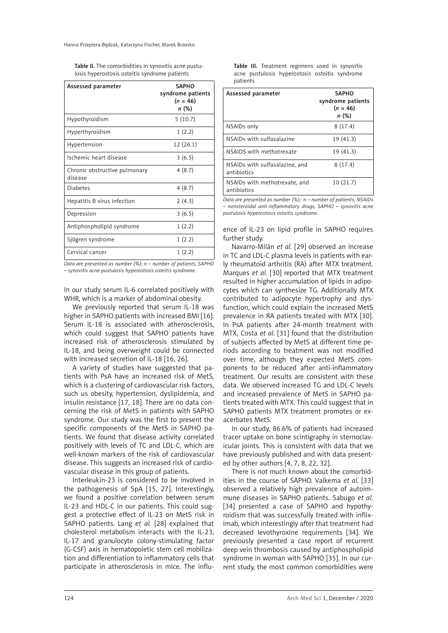Table II. The comorbidities in synovitis acne pustulosis hyperostosis osteitis syndrome patients

| Assessed parameter                       | <b>SAPHO</b><br>syndrome patients<br>$(n = 46)$<br>n (%) |  |  |
|------------------------------------------|----------------------------------------------------------|--|--|
| Hypothyroidism                           | 5(10.7)                                                  |  |  |
| Hyperthyroidism                          | 1(2.2)                                                   |  |  |
| Hypertension                             | 12(26.1)                                                 |  |  |
| Ischemic heart disease                   | 3(6.5)                                                   |  |  |
| Chronic obstructive pulmonary<br>disease | 4(8.7)                                                   |  |  |
| <b>Diabetes</b>                          | 4(8.7)                                                   |  |  |
| Hepatitis B virus infection              | 2(4.3)                                                   |  |  |
| Depression                               | 3(6.5)                                                   |  |  |
| Antiphospholipid syndrome                | 1(2.2)                                                   |  |  |
| Sjögren syndrome                         | 1(2.2)                                                   |  |  |
| Cervical cancer                          | 1(2.2)                                                   |  |  |

*Data are presented as number (%); n – number of patients, SAPHO – synovitis acne pustulosis hyperostosis osteitis syndrome.*

In our study serum IL-6 correlated positively with WHR, which is a marker of abdominal obesity.

We previously reported that serum IL-18 was higher in SAPHO patients with increased BMI [16]. Serum IL-18 is associated with atherosclerosis, which could suggest that SAPHO patients have increased risk of atherosclerosis stimulated by IL-18, and being overweight could be connected with increased secretion of IL-18 [16, 26].

A variety of studies have suggested that patients with PsA have an increased risk of MetS, which is a clustering of cardiovascular risk factors, such us obesity, hypertension, dyslipidemia, and insulin resistance [17, 18]. There are no data concerning the risk of MetS in patients with SAPHO syndrome. Our study was the first to present the specific components of the MetS in SAPHO patients. We found that disease activity correlated positively with levels of TC and LDL-C, which are well-known markers of the risk of cardiovascular disease. This suggests an increased risk of cardiovascular disease in this group of patients.

Interleukin-23 is considered to be involved in the pathogenesis of SpA [15, 27]. Interestingly, we found a positive correlation between serum IL-23 and HDL-C in our patients. This could suggest a protective effect of IL-23 on MetS risk in SAPHO patients. Lang *et al.* [28] explained that cholesterol metabolism interacts with the IL-23, IL-17 and granulocyte colony-stimulating factor (G-CSF) axis in hematopoietic stem cell mobilization and differentiation to inflammatory cells that participate in atherosclerosis in mice. The influ-

|          |  |  |  | Table III. Treatment regimens used in synovitis |
|----------|--|--|--|-------------------------------------------------|
|          |  |  |  | acne pustulosis hyperostosis osteitis syndrome  |
| patients |  |  |  |                                                 |

| Assessed parameter                            | <b>SAPHO</b><br>syndrome patients<br>$(n = 46)$<br>n (%) |
|-----------------------------------------------|----------------------------------------------------------|
| NSAIDs only                                   | 8(17.4)                                                  |
| NSAIDs with sulfasalazine                     | 19 (41.3)                                                |
| NSAIDS with methotrexate                      | 19 (41.3)                                                |
| NSAIDs with sulfasalazine, and<br>antibiotics | 8(17.4)                                                  |
| NSAIDs with methotrexate, and<br>antibiotics  | 10(21.7)                                                 |

*Data are presented as number (%); n – number of patients, NSAIDs – nonsteroidal anti-inflammatory drugs, SAPHO – synovitis acne pustulosis hyperostosis osteitis syndrome.*

ence of IL-23 on lipid profile in SAPHO requires further study.

Navarro-Milán *et al.* [29] observed an increase in TC and LDL-C plasma levels in patients with early rheumatoid arthritis (RA) after MTX treatment. Marques *et al.* [30] reported that MTX treatment resulted in higher accumulation of lipids in adipocytes which can synthesize TG. Additionally MTX contributed to adipocyte hypertrophy and dysfunction, which could explain the increased MetS prevalence in RA patients treated with MTX [30]. In PsA patients after 24-month treatment with MTX, Costa *et al.* [31] found that the distribution of subjects affected by MetS at different time periods according to treatment was not modified over time, although they expected MetS components to be reduced after anti-inflammatory treatment. Our results are consistent with these data. We observed increased TG and LDL-C levels and increased prevalence of MetS in SAPHO patients treated with MTX. This could suggest that in SAPHO patients MTX treatment promotes or exacerbates MetS.

In our study, 86.6% of patients had increased tracer uptake on bone scintigraphy in sternoclavicular joints. This is consistent with data that we have previously published and with data presented by other authors [4, 7, 8, 22, 32].

There is not much known about the comorbidities in the course of SAPHO. Valkema *et al.* [33] observed a relatively high prevalence of autoimmune diseases in SAPHO patients. Sabugo *et al.* [34] presented a case of SAPHO and hypothyroidism that was successfully treated with infliximab, which interestingly after that treatment had decreased levothyroxine requirements [34]. We previously presented a case report of recurrent deep vein thrombosis caused by antiphospholipid syndrome in woman with SAPHO [35]. In our current study, the most common comorbidities were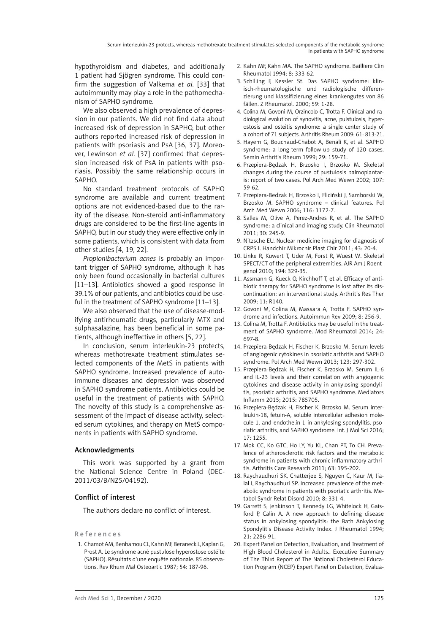hypothyroidism and diabetes, and additionally 1 patient had Sjögren syndrome. This could confirm the suggestion of Valkema *et al.* [33] that autoimmunity may play a role in the pathomechanism of SAPHO syndrome.

We also observed a high prevalence of depression in our patients. We did not find data about increased risk of depression in SAPHO, but other authors reported increased risk of depression in patients with psoriasis and PsA [36, 37]. Moreover, Lewinson *et al.* [37] confirmed that depression increased risk of PsA in patients with psoriasis. Possibly the same relationship occurs in SAPHO.

No standard treatment protocols of SAPHO syndrome are available and current treatment options are not evidenced-based due to the rarity of the disease. Non-steroid anti-inflammatory drugs are considered to be the first-line agents in SAPHO, but in our study they were effective only in some patients, which is consistent with data from other studies [4, 19, 22].

*Propionibacterium acnes* is probably an important trigger of SAPHO syndrome, although it has only been found occasionally in bacterial cultures [11–13]. Antibiotics showed a good response in 39.1% of our patients, and antibiotics could be useful in the treatment of SAPHO syndrome [11–13].

We also observed that the use of disease-modifying antirheumatic drugs, particularly MTX and sulphasalazine, has been beneficial in some patients, although ineffective in others [5, 22].

In conclusion, serum interleukin-23 protects, whereas methotrexate treatment stimulates selected components of the MetS in patients with SAPHO syndrome. Increased prevalence of autoimmune diseases and depression was observed in SAPHO syndrome patients. Antibiotics could be useful in the treatment of patients with SAPHO. The novelty of this study is a comprehensive assessment of the impact of disease activity, selected serum cytokines, and therapy on MetS components in patients with SAPHO syndrome.

### Acknowledgments

This work was supported by a grant from the National Science Centre in Poland (DEC-2011/03/B/NZ5/04192).

## Conflict of interest

The authors declare no conflict of interest.

#### References

1. Chamot AM, Benhamou CL, Kahn MF, Beraneck L, Kaplan G, Prost A. Le syndrome acné pustulose hyperostose ostéite (SAPHO). Résultats d'une enquête nationale. 85 observations. Rev Rhum Mal Osteoartic 1987; 54: 187-96.

- 2. Kahn MF, Kahn MA. The SAPHO syndrome. Bailliere Clin Rheumatol 1994; 8: 333-62.
- 3. Schilling F, Kessler St. Das SAPHO syndrome: klinisch-rheumatologische und radiologische differenzierung und klassifizierung eines krankengutes von 86 fällen. Z Rheumatol. 2000; 59: 1-28.
- 4. Colina M, Govoni M, Orzincolo C, Trotta F. Clinical and radiological evolution of synovitis, acne, pulstulosis, hyperostosis and osteitis syndrome: a single center study of a cohort of 71 subjects. Arthritis Rheum 2009; 61: 813-21.
- 5. Hayem G, Bouchaud-Chabot A, Benali K, et al. SAPHO syndrome: a long-term follow-up study of 120 cases. Semin Arthritis Rheum 1999; 29: 159-71.
- 6. Przepiera-Będzak H, Brzosko I, Brzosko M. Skeletal changes during the course of pustulosis palmoplantaris: report of two cases. Pol Arch Med Wewn 2002; 107: 59-62.
- 7. Przepiera-Bedzak H, Brzosko I, Fliciński J, Samborski W, Brzosko M. SAPHO syndrome – clinical features. Pol Arch Med Wewn 2006; 116: 1172-7.
- 8. Salles M, Olive A, Perez-Andres R, et al. The SAPHO syndrome: a clinical and imaging study. Clin Rheumatol 2011; 30: 245-9.
- 9. Nitzsche EU. Nuclear medicine imaging for diagnosis of CRPS I. Handchir Mikrochir Plast Chir 2011; 43: 20-4.
- 10. Linke R, Kuwert T, Uder M, Forst R, Wuest W. Skeletal SPECT/CT of the peripheral extremities. AJR Am J Roentgenol 2010; 194: 329-35.
- 11. Assmann G, Kueck O, Kirchhoff T, et al. Efficacy of antibiotic therapy for SAPHO syndrome is lost after its discontinuation: an interventional study. Arthritis Res Ther 2009; 11: R140.
- 12. Govoni M, Colina M, Massara A, Trotta F. SAPHO syndrome and infections. Autoimmun Rev 2009; 8: 256-9.
- 13. Colina M, Trotta F. Antibiotics may be useful in the treatment of SAPHO syndrome. Mod Rheumatol 2014; 24: 697-8.
- 14. Przepiera-Będzak H, Fischer K, Brzosko M. Serum levels of angiogenic cytokines in psoriatic arthritis and SAPHO syndrome. Pol Arch Med Wewn 2013; 123: 297-302.
- 15. Przepiera-Będzak H, Fischer K, Brzosko M. Serum IL-6 and IL-23 levels and their correlation with angiogenic cytokines and disease activity in ankylosing spondylitis, psoriatic arthritis, and SAPHO syndrome. Mediators Inflamm 2015; 2015: 785705.
- 16. Przepiera-Będzak H, Fischer K, Brzosko M. Serum interleukin-18, fetuin-A, soluble intercellular adhesion molecule-1, and endothelin-1 in ankylosing spondylitis, psoriatic arthritis, and SAPHO syndrome. Int. J Mol Sci 2016; 17: 1255.
- 17. Mok CC, Ko GTC, Ho LY, Yu KL, Chan PT, To CH. Prevalence of atherosclerotic risk factors and the metabolic syndrome in patients with chronic inflammatory arthritis. Arthritis Care Research 2011; 63: 195-202.
- 18. Raychaudhuri SK, Chatterjee S, Nguyen C, Kaur M, Jialal I, Raychaudhuri SP. Increased prevalence of the metabolic syndrome in patients with psoriatic arthritis. Metabol Syndr Relat Disord 2010; 8: 331-4.
- 19. Garrett S, Jenkinson T, Kennedy LG, Whitelock H, Gaisford P, Calin A. A new approach to defining disease status in ankylosing spondylitis: the Bath Ankylosing Spondylitis Disease Activity Index. J Rheumatol 1994; 21: 2286-91.
- 20. Expert Panel on Detection, Evaluation, and Treatment of High Blood Cholesterol in Adults.. Executive Summary of The Third Report of The National Cholesterol Education Program (NCEP) Expert Panel on Detection, Evalua-